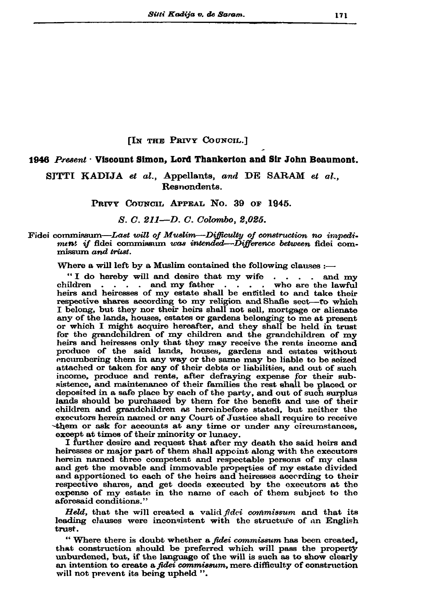# [IN THE PRIVY COUNCIL.]

## 1946 Present . Viscount Simon, Lord Thankerton and Sir John Beaumont.

SITTI KADIJA et al., Appellants, and DE SARAM et al., Resnondents.

#### PRIVY COUNCIL APPEAL NO. 39 OF 1945.

## S. C. 211-D. C. Colombo, 2,025.

#### Fidei commissum—Last will of Muslim—Difficulty of construction no impediment if fidei commissum was intended—Difference between fidei commissum and trust.

Where a will left by a Muslim contained the following clauses :-

"I do hereby will and desire that my wife  $\cdot \cdot \cdot$  and my . . . . and my father . . . . who are the lawful children heirs and heiresses of my estate shall be entitled to and take their respective shares according to my religion and Shafie sect-to which I belong, but they nor their heirs shall not sell, mortgage or alienate any of the lands, houses, estates or gardens belonging to me at present or which I might acquire hereafter, and they shall be held in trust for the grandchildren of my children and the grandchildren of my heirs and heiresses only that they may receive the rents income and produce of the said lands, houses, gardens and estates without encumbering them in any way or the same may be liable to be seized attached or taken for any of their debts or liabilities, and out of such income, produce and rents, after defraying expense for their subsistence, and maintenance of their families the rest shall be placed or deposited in a safe place by each of the party, and out of such surplus lands should be purchased by them for the benefit and use of their children and grandchildren as hereinbefore stated, but neither the executors herein named or any Court of Justice shall require to receive them or ask for accounts at any time or under any circumstances, except at times of their minority or lunacy.

I further desire and request that after my death the said heirs and heiresses or major part of them shall appoint along with the executors herein named three competent and respectable persons of my class and get the movable and immovable properties of my estate divided and apportioned to each of the heirs and heiresses according to their respective shares, and get deeds executed by the executors at the expense of my estate in the name of each of them subject to the aforesaid conditions."

Held, that the will created a valid fidei commissum and that its leading clauses were inconsistent with the structure of an English trust.

"Where there is doubt whether a fidei commissum has been created, that construction should be preferred which will pass the property unburdened, but, if the language of the will is such as to show clearly an intention to create a *fidei commissum*, mere difficulty of construction will not prevent its being upheld ".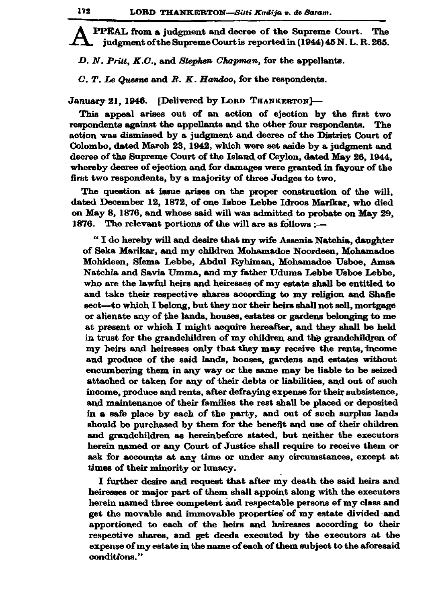PPEAL from a judgment and decree of the Supreme Court. The judgment of the Supreme Court is reported in (1944) 45 N. L. R. 265.

D. N. Pritt, K.C., and Stephen Chapman, for the appellants.

 $C. T.$  Le Quesne and R. K. Handoo, for the respondents.

January 21, 1946. [Delivered by LORD THANKERTON]-

This appeal arises out of an action of ejection by the first two respondents against the appellants and the other four respondents. The action was dismissed by a judgment and decree of the District Court of Colombo, dated March 23, 1942, which were set aside by a judgment and decree of the Supreme Court of the Island of Ceylon, dated May 26, 1944, whereby decree of ejection and for damages were granted in fayour of the first two respondents, by a majority of three Judges to two.

The question at issue arises on the proper construction of the will, dated December 12, 1872, of one Isboe Lebbe Idroos Marikar, who died on May 8, 1876, and whose said will was admitted to probate on May 29, 1876. The relevant portions of the will are as follows :-

"I do hereby will and desire that my wife Assenia Natchia, daughter of Seka Marikar, and my children Mohamadoe Noordeen, Mohamadoe Mohideen, Siema Lebbe, Abdul Ryhiman, Mohamadoe Usboe, Amsa Natchia and Savia Umma, and my father Uduma Lebbe Usboe Lebbe, who are the lawful heirs and heiresses of my estate shall be entitled to and take their respective shares according to my religion and Shafie sect—to which I belong, but they nor their heirs shall not sell, mortgage or alienate any of the lands, houses, estates or gardens belonging to me at present or which I might acquire hereafter, and they shall be held in trust for the grandchildren of my children and the grandchildren of my heirs and heiresses only that they may receive the rents, income and produce of the said lands, houses, gardens and estates without encumbering them in any way or the same may be liable to be seized attached or taken for any of their debts or liabilities, and out of such income, produce and rents, after defraying expense for their subsistence, and maintenance of their families the rest shall be placed or deposited in a safe place by each of the party, and out of such surplus lands should be purchased by them for the benefit and use of their children and grandchildren as hereinbefore stated, but neither the executors herein named or any Court of Justice shall require to receive them or ask for accounts at any time or under any circumstances, except at times of their minority or lunacy.

I further desire and request that after my death the said heirs and heiresses or major part of them shall appoint along with the executors herein named three competent and respectable persons of my class and get the movable and immovable properties of my estate divided and apportioned to each of the heirs and heiresses according to their respective shares, and get deeds executed by the executors at the expense of my estate in the name of each of them subject to the aforesaid conditions."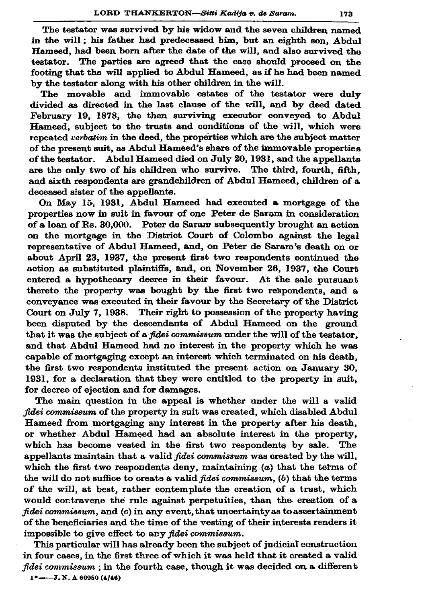The testator was survived by his widow and the seven children named in the will; his father had predeceased him, but an eighth son, Abdul Hameed, had been born after the date of the will, and also survived the testator. The parties are agreed that the case should proceed on the footing that the will applied to Abdul Hameed, as if he had been named by the testator along with his other children in the will.

The movable and immovable estates of the testator were duly divided as directed in the last clause of the will, and by deed dated February 19, 1878, the then surviving executor conveyed to Abdul Hameed, subject to the trusts and conditions of the will, which were repeated *verbatim* in the deed, the properties which are the subject matter of the present suit, as Abdul Hameed's share of the immovable properties of the testator. Abdul Hameed died on July 20, 1931, and the appellants are the only two of his children who survive. The third, fourth, fifth. and sixth respondents are grandchildren of Abdul Hameed, children of a deceased sister of the appellants.

On May 15, 1931. Abdul Hameed had executed a mortgage of the properties now in suit in favour of one Peter de Saram in consideration of a loan of Rs. 30,000. Peter de Saram subsequently brought an action on the mortgage in the District Court of Colombo against the legal representative of Abdul Hameed, and, on Peter de Saram's death on or about April 23, 1937, the present first two respondents continued the action as substituted plaintiffs, and, on November 26, 1937, the Court entered a hypothecary decree in their favour. At the sale pursuant thereto the property was bought by the first two respondents, and a convevance was executed in their favour by the Secretary of the District Court on July 7, 1938. Their right to possession of the property having been disputed by the descendants of Abdul Hameed on the ground that it was the subject of a *fidei commissum* under the will of the testator. and that Abdul Hameed had no interest in the property which he was capable of mortgaging except an interest which terminated on his death, the first two respondents instituted the present action on January 30. 1931, for a declaration that they were entitled to the property in suit. for decree of ejection and for damages.

The main question in the appeal is whether under the will a valid fidei commissum of the property in suit was created, which disabled Abdul Hameed from mortgaging any interest in the property after his death, or whether Abdul Hameed had an absolute interest in the property, which has become vested in the first two respondents by sale. The appellants maintain that a valid fidei commissum was created by the will, which the first two respondents deny, maintaining  $(a)$  that the terms of the will do not suffice to create a valid *fidei commissum*, (b) that the terms of the will, at best, rather contemplate the creation of a trust, which would contravene the rule against perpetuities, than the creation of a fidei commissum, and (c) in any event, that uncertainty as to ascertainment of the beneficiaries and the time of the vesting of their interests renders it impossible to give effect to any fidei commissum.

This particular will has already been the subject of judicial construction in four cases, in the first three of which it was held that it created a valid fidei commissum; in the fourth case, though it was decided on a different

 $1^*$  - - J. N. A 60950 (4/46)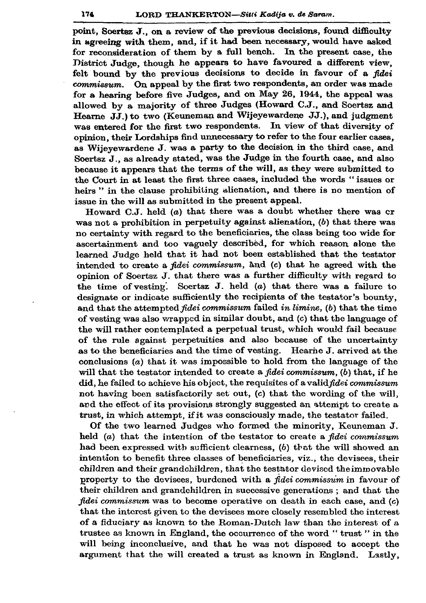point, Soertsz J., on a review of the previous decisions, found difficulty in agreeing with them, and, if it had been necessary, would have asked for reconsideration of them by a full bench. In the present case, the District Judge, though he appears to have favoured a different view. felt bound by the previous decisions to decide in favour of a fidei commissum. On appeal by the first two respondents, an order was made for a hearing before five Judges, and on May 26, 1944, the appeal was allowed by a majority of three Judges (Howard C.J., and Soertsz and Hearne JJ.) to two (Keuneman and Wijeyewardene JJ.), and judgment was entered for the first two respondents. In view of that diversity of opinion, their Lordships find unnecessary to refer to the four earlier cases. as Wijevewardene J. was a party to the decision in the third case, and Soertsz J., as already stated, was the Judge in the fourth case, and also because it appears that the terms of the will, as they were submitted to the Court in at least the first three cases, included the words "issues or heirs" in the clause prohibiting alienation, and there is no mention of issue in the will as submitted in the present appeal.

Howard C.J. held (a) that there was a doubt whether there was cr was not a prohibition in perpetuity against alienation,  $(b)$  that there was no certainty with regard to the beneficiaries, the class being too wide for ascertainment and too vaguely described, for which reason alone the learned Judge held that it had not been established that the testator intended to create a *fidei commissum*, and (c) that he agreed with the opinion of Soertsz J. that there was a further difficulty with regard to the time of vesting. Soertsz  $J$ . held  $(a)$  that there was a failure to designate or indicate sufficiently the recipients of the testator's bounty, and that the attempted fidei commissum failed in limine, (b) that the time of vesting was also wrapped in similar doubt, and (c) that the language of the will rather contemplated a perpetual trust, which would fail because of the rule against perpetuities and also because of the uncertainty as to the beneficiaries and the time of vesting. Hearne J. arrived at the conclusions  $(a)$  that it was impossible to hold from the language of the will that the testator intended to create a fidei commissum, (b) that, if he did, he failed to achieve his object, the requisites of a valid fidei commissum not having been satisfactorily set out, (c) that the wording of the will, and the effect of its provisions strongly suggested an attempt to create a trust, in which attempt, if it was consciously made, the testator failed.

Of the two learned Judges who formed the minority, Keuneman J. held (a) that the intention of the testator to create a fidei commissum had been expressed with sufficient clearness, (b) that the will showed an intention to benefit three classes of beneficiaries, viz., the devisees, their children and their grandchildren, that the testator devised the immovable property to the devisees, burdened with a fidei commissum in favour of their children and grandchildren in successive generations; and that the fidei commissum was to become operative on death in each case, and (c) that the interest given to the devisees more closely resembled the interest of a fiduciary as known to the Roman-Dutch law than the interest of a trustee as known in England, the occurrence of the word "trust" in the will being inconclusive, and that he was not disposed to accept the argument that the will created a trust as known in England. Lastly,

174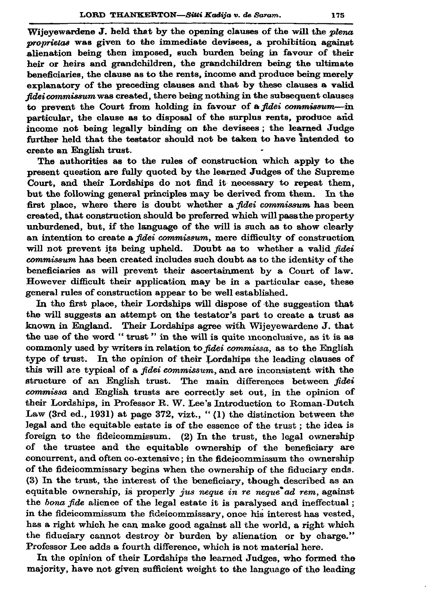Wijevewardene J, held that by the opening clauses of the will the plena proprietas was given to the immediate devisees, a prohibition against alienation being then imposed, such burden being in favour of their heir or heirs and grandchildren, the grandchildren being the ultimate beneficiaries, the clause as to the rents, income and produce being merely explanatory of the preceding clauses and that by these clauses a valid fidei commissum was created, there being nothing in the subsequent clauses to prevent the Court from holding in favour of a fidei commissum-in particular, the clause as to disposal of the surplus rents, produce and income not being legally binding on the devisees; the learned Judge further held that the testator should not be taken to have intended to create an English trust.

The authorities as to the rules of construction which apply to the present question are fully quoted by the learned Judges of the Supreme Court, and their Lordships do not find it necessary to repeat them. but the following general principles may be derived from them. In the first place, where there is doubt whether a *fidei commissum* has been created, that construction should be preferred which will pass the property unburdened, but, if the language of the will is such as to show clearly an intention to create a fidei commissum, mere difficulty of construction will not prevent its being upheld. Doubt as to whether a valid fidei commissum has been created includes such doubt as to the identity of the beneficiaries as will prevent their ascertainment by a Court of law. However difficult their application may be in a particular case, these general rules of construction appear to be well established.

In the first place, their Lordships will dispose of the suggestion that the will suggests an attempt on the testator's part to create a trust as known in England. Their Lordships agree with Wijevewardene J. that the use of the word "trust" in the will is quite inconclusive, as it is as commonly used by writers in relation to fidei commissa, as to the English type of trust. In the opinion of their Lordships the leading clauses of this will are typical of a *fidei commissum*, and are inconsistent with the structure of an English trust. The main differences between fidei commissa and English trusts are correctly set out, in the opinion of their Lordships, in Professor R. W. Lee's Introduction to Roman-Dutch Law (3rd ed., 1931) at page 372, vizt., "(1) the distinction between the legal and the equitable estate is of the essence of the trust; the idea is foreign to the fideicommissum. (2) In the trust, the legal ownership of the trustee and the equitable ownership of the beneficiary are concurrent, and often co-extensive; in the fideicommissum the ownership of the fideicommissary begins when the ownership of the fiduciary ends. (3) In the trust, the interest of the beneficiary, though described as an equitable ownership, is properly jus neque in re neque ad rem, against the bona fide alience of the legal estate it is paralysed and ineffectual; in the fideicommissum the fideicommissary, once his interest has vested, has a right which he can make good against all the world, a right which the fiduciary cannot destroy or burden by alienation or by charge." Professor Lee adds a fourth difference, which is not material here.

In the opinion of their Lordships the learned Judges, who formed the majority, have not given sufficient weight to the language of the leading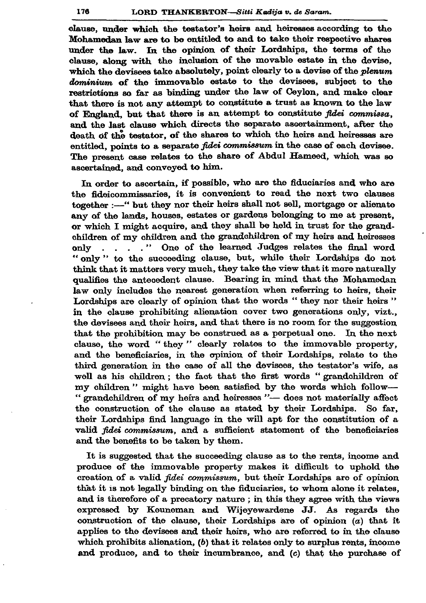clause, under which the testator's heirs and heiresses according to the Mohamedan law are to be entitled to and to take their respective shares under the law. In the opinion of their Lordships, the terms of the clause, along with the inclusion of the movable estate in the devise. which the devisees take absolutely, point clearly to a devise of the *plenum* dominium of the immovable estate to the devisees, subject to the restrictions so far as binding under the law of Ceylon, and make clear that there is not any attempt to constitute a trust as known to the law of England, but that there is an attempt to constitute fidei commissa. and the last clause which directs the separate ascertainment, after the death of the testator, of the shares to which the heirs and heiresses are entitled, points to a separate *fidei commissum* in the case of each devisee. The present case relates to the share of Abdul Hameed, which was so ascertained, and conveved to him.

In order to ascertain, if possible, who are the fiduciaries and who are the fideicommissaries, it is convenient to read the next two clauses together :-- " but they nor their heirs shall not sell, mortgage or alienate any of the lands, houses, estates or gardens belonging to me at present, or which I might acquire, and they shall be held in trust for the grandchildren of my children and the grandchildren of my heirs and heiresses only . . . . " One of the learned Judges relates the final word " only" to the succeeding clause, but, while their Lordships do not think that it matters very much, they take the view that it more naturally qualifies the antecedent clause. Bearing in mind that the Mohamedan law only includes the nearest generation when referring to heirs, their Lordships are clearly of opinion that the words "they nor their heirs" in the clause prohibiting alienation cover two generations only, vizt., the devisees and their heirs, and that there is no room for the suggestion that the prohibition may be construed as a perpetual one. In the next clause, the word "they" clearly relates to the immovable property, and the beneficiaries, in the opinion of their Lordships, relate to the third generation in the case of all the devisees, the testator's wife, as well as his children; the fact that the first words "grandchildren of my children" might have been satisfied by the words which follow-" grandchildren of my heirs and heiresses "- does not materially affect the construction of the clause as stated by their Lordships. So far, their Lordships find language in the will apt for the constitution of a valid fidei commissum, and a sufficient statement of the beneficiaries and the benefits to be taken by them.

It is suggested that the succeeding clause as to the rents, income and produce of the immovable property makes it difficult to uphold the creation of a valid *fidei commissum*, but their Lordships are of opinion that it is not legally binding on the fiduciaries, to whom alone it relates, and is therefore of a precatory nature; in this they agree with the views expressed by Keuneman and Wijeyewardene JJ. As regards the construction of the clause, their Lordships are of opinion  $(a)$  that it applies to the devisees and their heirs, who are referred to in the clause which prohibits alienation,  $(b)$  that it relates only to surplus rents, income and produce, and to their incumbrance, and (c) that the purchase of

176